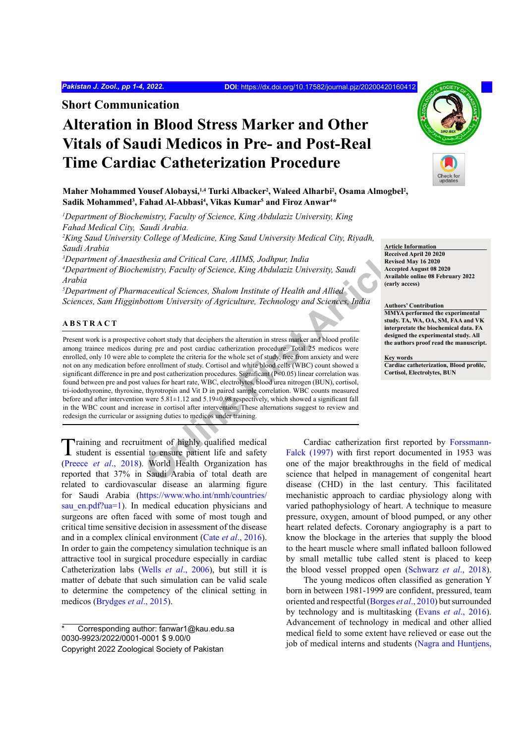**Short Communication**

# **Alteration in Blood Stress Marker and Other Vitals of Saudi Medicos in Pre- and Post-Real Time Cardiac Catheterization Procedure**

Maher Mohammed Yousef Alobaysi,<sup>1,4</sup> Turki Albacker<sup>2</sup>, Waleed Alharbi<sup>2</sup>, Osama Almogbel<sup>2</sup>, Sadik Mohammed<sup>3</sup>, Fahad Al-Abbasi<sup>4</sup>, Vikas Kumar<sup>5</sup> and Firoz Anwar<sup>4\*</sup>

<sup>1</sup>Department of Biochemistry, Faculty of Science, King Abdulaziz University, King *Fahad Medical City, Saudi Arabia.*

*2 King Saud University College of Medicine, King Saud University Medical City, Riyadh, Saudi Arabia*

*3 Department of Anaesthesia and Critical Care, AIIMS, Jodhpur, India*

*4 Department of Biochemistry, Faculty of Science, King Abdulaziz University, Saudi Arabia*

*5 Department of Pharmaceutical Sciences, Shalom Institute of Health and Allied Sciences, Sam Higginbottom University of Agriculture, Technology and Sciences, India*

#### **ABSTRACT**

*hesia and Critical Care, AHMS, Jodhpur, India*<br> *Receivend Exercise and Critical Care, King Abdulaziz University, Saudi*<br> *Revised Areceivend Article and Allied Areceivend Article and Article and Sciences, Shalom Institut* Present work is a prospective cohort study that deciphers the alteration in stress marker and blood profile among trainee medicos during pre and post cardiac catherization procedure. Total 25 medicos were enrolled, only 10 were able to complete the criteria for the whole set of study, free from anxiety and were not on any medication before enrollment of study. Cortisol and white blood cells (WBC) count showed a significant difference in pre and post catherization procedures. Significant (P<0.05) linear correlation was found between pre and post values for heart rate, WBC, electrolytes, blood urea nitrogen (BUN), cortisol, tri-iodothyronine, thyroxine, thyrotropin and Vit D in paired sample correlation. WBC counts measured before and after intervention were 5.81±1.12 and 5.19±0.98 respectively, which showed a significant fall in the WBC count and increase in cortisol after intervention. These alternations suggest to review and redesign the curricular or assigning duties to medicos under training.

Training and recruitment of highly qualified medical student is essential to ensure patient life and safety (Preece *et al*., 2018). World Health Organization has reported that 37% in Saudi Arabia of total death are related to cardiovascular disease an alarming figure for Saudi Arabia ([https://www.who.int/nmh/countries/](https://www.who.int/nmh/countries/sau_en.pdf?ua=1) sau en.pdf?ua=1). In medical education physicians and surgeons are often faced with some of most tough and critical time sensitive decision in assessment of the disease and in a complex clinical environment (Cate *et al*., 2016). In order to gain the competency simulation technique is an attractive tool in surgical procedure especially in cardiac Catheterization labs (Wells *et al*., 2006), but still it is matter of debate that such simulation can be valid scale to determine the competency of the clinical setting in medicos (Brydges *et al*., 2015).

Cardiac catherization first reported by Forssmann-Falck (1997) with first report documented in 1953 was one of the major breakthroughs in the field of medical science that helped in management of congenital heart disease (CHD) in the last century. This facilitated mechanistic approach to cardiac physiology along with varied pathophysiology of heart. A technique to measure pressure, oxygen, amount of blood pumped, or any other heart related defects. Coronary angiography is a part to know the blockage in the arteries that supply the blood to the heart muscle where small inflated balloon followed by small metallic tube called stent is placed to keep the blood vessel propped open (Schwarz *et al*., 2018).

The young medicos often classified as generation Y born in between 1981-1999 are confident, pressured, team oriented and respectful (Borges *et al*., 2010) but surrounded by technology and is multitasking (Evans *et al*., 2016). Advancement of technology in medical and other allied medical field to some extent have relieved or ease out the job of medical interns and students (Nagra and Huntjens,

**Article Information Received April 20 2020 Revised May 16 2020 Accepted August 08 2020 Available online 08 February 2022 (early access)**

#### **Authors' Contribution**

**MMYA performed the experimental study. TA, WA, OA, SM, FAA and VK interpretate the biochemical data. FA designed the experimental study. All the authors proof read the manuscript.**

**Key words Cardiac catheterization, Blood profile, Cortisol, Electrolytes, BUN**



Corresponding author: fanwar1@kau.edu.sa 0030-9923/2022/0001-0001 \$ 9.00/0 Copyright 2022 Zoological Society of Pakistan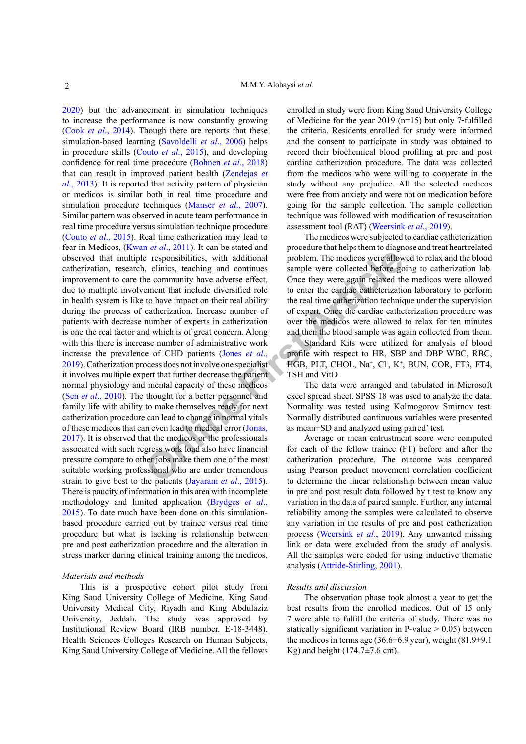**Example 18** and the methods were allow<br> **CONFIGUATE:** The medicos were allow<br> **CONFIGUATE:** The medicos were allow<br>
the community have adverse effect, Once they were again relaxed the<br>
the nearl that include diversified r 2020) but the advancement in simulation techniques to increase the performance is now constantly growing (Cook *et al*., 2014). Though there are reports that these simulation-based learning (Savoldelli *et al*., 2006) helps in procedure skills (Couto *et al*., 2015), and developing confidence for real time procedure (Bohnen *et al*., 2018) that can result in improved patient health (Zendejas *et al*., 2013). It is reported that activity pattern of physician or medicos is similar both in real time procedure and simulation procedure techniques (Manser *et al*., 2007). Similar pattern was observed in acute team performance in real time procedure versus simulation technique procedure (Couto *et al*., 2015). Real time catherization may lead to fear in Medicos, (Kwan *et al*., 2011). It can be stated and observed that multiple responsibilities, with additional catherization, research, clinics, teaching and continues improvement to care the community have adverse effect, due to multiple involvement that include diversified role in health system is like to have impact on their real ability during the process of catherization. Increase number of patients with decrease number of experts in catherization is one the real factor and which is of great concern. Along with this there is increase number of administrative work increase the prevalence of CHD patients (Jones *et al*., 2019). Catherization process does not involve one specialist it involves multiple expert that further decrease the patient normal physiology and mental capacity of these medicos (Sen *et al*., 2010). The thought for a better personnel and family life with ability to make themselves ready for next catherization procedure can lead to change in normal vitals of these medicos that can even lead to medical error (Jonas, 2017). It is observed that the medicos or the professionals associated with such regress work load also have financial pressure compare to other jobs make them one of the most suitable working professional who are under tremendous strain to give best to the patients (Jayaram *et al*., 2015). There is paucity of information in this area with incomplete methodology and limited application (Brydges *et al*., 2015). To date much have been done on this simulationbased procedure carried out by trainee versus real time procedure but what is lacking is relationship between pre and post catherization procedure and the alteration in stress marker during clinical training among the medicos.

### *Materials and methods*

This is a prospective cohort pilot study from King Saud University College of Medicine. King Saud University Medical City, Riyadh and King Abdulaziz University, Jeddah. The study was approved by Institutional Review Board (IRB number. E-18-3448). Health Sciences Colleges Research on Human Subjects, King Saud University College of Medicine. All the fellows enrolled in study were from King Saud University College of Medicine for the year 2019 (n=15) but only 7 fulfilled the criteria. Residents enrolled for study were informed and the consent to participate in study was obtained to record their biochemical blood profiling at pre and post cardiac catherization procedure. The data was collected from the medicos who were willing to cooperate in the study without any prejudice. All the selected medicos were free from anxiety and were not on medication before going for the sample collection. The sample collection technique was followed with modification of resuscitation assessment tool (RAT) (Weersink *et al*., 2019).

The medicos were subjected to cardiac catheterization procedure that helps them to diagnose and treat heart related problem. The medicos were allowed to relax and the blood sample were collected before going to catherization lab. Once they were again relaxed the medicos were allowed to enter the cardiac catheterization laboratory to perform the real time catherization technique under the supervision of expert. Once the cardiac catheterization procedure was over the medicos were allowed to relax for ten minutes and then the blood sample was again collected from them.

Standard Kits were utilized for analysis of blood profile with respect to HR, SBP and DBP WBC, RBC, HGB, PLT, CHOL, Na+ , Cl- , K+ , BUN, COR, FT3, FT4, TSH and VitD

The data were arranged and tabulated in Microsoft excel spread sheet. SPSS 18 was used to analyze the data. Normality was tested using Kolmogorov Smirnov test. Normally distributed continuous variables were presented as mean±SD and analyzed using paired' test.

Average or mean entrustment score were computed for each of the fellow trainee (FT) before and after the catherization procedure. The outcome was compared using Pearson product movement correlation coefficient to determine the linear relationship between mean value in pre and post result data followed by t test to know any variation in the data of paired sample. Further, any internal reliability among the samples were calculated to observe any variation in the results of pre and post catherization process (Weersink *et al*., 2019). Any unwanted missing link or data were excluded from the study of analysis. All the samples were coded for using inductive thematic analysis (Attride-Stirling, 2001).

#### *Results and discussion*

The observation phase took almost a year to get the best results from the enrolled medicos. Out of 15 only 7 were able to fulfill the criteria of study. There was no statically significant variation in P-value  $> 0.05$ ) between the medicos in terms age (36.6 $\pm$ 6.9 year), weight (81.9 $\pm$ 9.1 Kg) and height  $(174.7\pm7.6$  cm).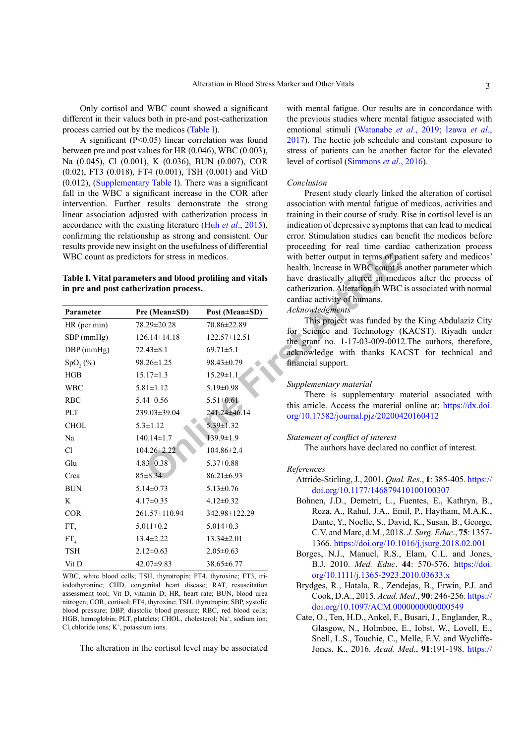Only cortisol and WBC count showed a significant different in their values both in pre-and post-catherization process carried out by the medicos (Table I).

A significant (P˂0.05) linear correlation was found between pre and post values for HR (0.046), WBC (0.003), Na (0.045), Cl (0.001), K (0.036), BUN (0.007), COR (0.02), FT3 (0.018), FT4 (0.001), TSH (0.001) and VitD (0.012), (Supplementary Table I). There was a significant fall in the WBC a significant increase in the COR after intervention. Further results demonstrate the strong linear association adjusted with catherization process in accordance with the existing literature (Huh *et al*., 2015), confirming the relationship as strong and consistent. Our results provide new insight on the usefulness of differential WBC count as predictors for stress in medicos.

**Table I. Vital parameters and blood profiling and vitals in pre and post catherization process.**

| WBC count as predictors for stress in medicos. |                                                                                                    |                                                                                                     | with better output in terms of pat<br>health. Increase in WBC count is                                                                            |
|------------------------------------------------|----------------------------------------------------------------------------------------------------|-----------------------------------------------------------------------------------------------------|---------------------------------------------------------------------------------------------------------------------------------------------------|
|                                                | Table I. Vital parameters and blood profiling and vitals<br>in pre and post catherization process. | have drastically altered in medi<br>catherization. Alteration in WBC<br>cardiac activity of humans. |                                                                                                                                                   |
| Parameter                                      | Pre (Mean±SD)                                                                                      | Post (Mean±SD)                                                                                      | <b>Acknowledgments</b>                                                                                                                            |
| $HR$ (per min)                                 | 78.29±20.28                                                                                        | 70.86±22.89                                                                                         | This project was funded by<br>for Science and Technology (I<br>the grant no. 1-17-03-009-0012<br>acknowledge with thanks KA<br>financial support. |
| $SBP$ (mmHg)                                   | $126.14 \pm 14.18$                                                                                 | $122.57 \pm 12.51$                                                                                  |                                                                                                                                                   |
| DBP (mmHg)                                     | $72.43 \pm 8.1$                                                                                    | $69.71 \pm 5.1$                                                                                     |                                                                                                                                                   |
| SpO, (%)                                       | $98.26 \pm 1.25$                                                                                   | 98.43±0.79                                                                                          |                                                                                                                                                   |
| HGB                                            | $15.17 \pm 1.3$                                                                                    | $15.29 \pm 1.1$                                                                                     |                                                                                                                                                   |
| <b>WBC</b>                                     | $5.81 \pm 1.12$                                                                                    | $5.19 \pm 0.98$                                                                                     | Supplementary material<br>There is supplementary n<br>this article. Access the material<br>org/10.17582/journal.pjz/202004                        |
| <b>RBC</b>                                     | $5.44 \pm 0.56$                                                                                    | $5.51 \pm 0.61$                                                                                     |                                                                                                                                                   |
| PLT                                            | 239.03±39.04                                                                                       | 241.24±46.14                                                                                        |                                                                                                                                                   |
| <b>CHOL</b>                                    | $5.3 \pm 1.12$                                                                                     | 5.39±1.32                                                                                           |                                                                                                                                                   |
| Na                                             | $140.14 \pm 1.7$                                                                                   | $139.9 \pm 1.9$                                                                                     | Statement of conflict of interest<br>The authors have declared n                                                                                  |
| C1                                             | $104.26 \pm 2.22$                                                                                  | $104.86 \pm 2.4$                                                                                    |                                                                                                                                                   |
| Glu                                            | $4.83 \pm 0.38$                                                                                    | $5.37 \pm 0.88$                                                                                     | References<br>Attride-Stirling, J., 2001. Qual.<br>doi.org/10.1177/14687941                                                                       |
| Crea                                           | $85 \pm 8.34$                                                                                      | $86.21 \pm 6.93$                                                                                    |                                                                                                                                                   |
| <b>BUN</b>                                     | $5.14 \pm 0.73$                                                                                    | $5.13 \pm 0.76$                                                                                     |                                                                                                                                                   |
| K                                              | $4.17 \pm 0.35$                                                                                    | $4.12 \pm 0.32$                                                                                     | Bohnen, J.D., Demetri, L., F                                                                                                                      |
| <b>COR</b>                                     | 261.57±110.94                                                                                      | 342.98±122.29                                                                                       | Reza, A., Rahul, J.A., Em                                                                                                                         |
| FT <sub>2</sub>                                | $5.011 \pm 0.2$                                                                                    | $5.014 \pm 0.3$                                                                                     | Dante, Y., Noelle, S., Davi<br>C.V. and Marc, d.M., 2018<br>1366. https://doi.org/10.10<br>Borges, N.J., Manuel, R.S.,                            |
| FT <sub>4</sub>                                | $13.4 \pm 2.22$                                                                                    | $13.34 \pm 2.01$                                                                                    |                                                                                                                                                   |
| <b>TSH</b>                                     | $2.12 \pm 0.63$                                                                                    | $2.05 \pm 0.63$                                                                                     |                                                                                                                                                   |
| Vit D                                          | $42.07 \pm 9.83$                                                                                   | 38.65±6.77                                                                                          | B.J. 2010. Med. Educ. 4                                                                                                                           |

WBC, white blood cells; TSH, thyrotropin; FT4, thyroxine; FT3, triiodothyronine; CHD, congenital heart disease; RAT, resuscitation assessment tool; Vit D, vitamin D; HR, heart rate; BUN, blood urea nitrogen; COR, cortisol; FT4, thyroxine; TSH, thyrotropin; SBP, systolic blood pressure; DBP, diastolic blood pressure; RBC, red blood cells; HGB, hemoglobin; PLT, platelets; CHOL, cholesterol; Na<sup>+</sup>, sodium ion;  $Cl$ , chloride ions;  $K^+$ , potassium ions.

The alteration in the cortisol level may be associated

with mental fatigue. Our results are in concordance with the previous studies where mental fatigue associated with emotional stimuli (Watanabe *et al*., 2019; Izawa *et al*., 2017). The hectic job schedule and constant exposure to stress of patients can be another factor for the elevated level of cortisol (Simmons *et al*., 2016).

#### *Conclusion*

Present study clearly linked the alteration of cortisol association with mental fatigue of medicos, activities and training in their course of study. Rise in cortisol level is an indication of depressive symptoms that can lead to medical error. Stimulation studies can benefit the medicos before proceeding for real time cardiac catherization process with better output in terms of patient safety and medicos' health. Increase in WBC count is another parameter which have drastically altered in medicos after the process of catherization. Alteration in WBC is associated with normal cardiac activity of humans.

#### *Acknowledgments*

This project was funded by the King Abdulaziz City for Science and Technology (KACST). Riyadh under the grant no. 1-17-03-009-0012.The authors, therefore, acknowledge with thanks KACST for technical and financial support.

#### *Supplementary material*

There is supplementary material associated with this article. Access the material online at: [https://dx.doi.](https://dx.doi.org/10.17582/journal.pjz/20200420160412) org/10.17582/journal.pjz/20200420160412

#### *Statement of conflict of interest*

The authors have declared no conflict of interest.

#### *References*

- Attride-Stirling, J., 2001. *Qual. Res*., **1**: 385-405. [https://](https://doi.org/10.1177/146879410100100307) [doi.org/10.1177/146879410100100307](https://doi.org/10.1177/146879410100100307)
- Bohnen, J.D., Demetri, L., Fuentes, E., Kathryn, B., Reza, A., Rahul, J.A., Emil, P., Haytham, M.A.K., Dante, Y., Noelle, S., David, K., Susan, B., George, C.V. and Marc, d.M., 2018. *J. Surg. Educ*., **75**: 1357- 1366.<https://doi.org/10.1016/j.jsurg.2018.02.001>
- Borges, N.J., Manuel, R.S., Elam, C.L. and Jones, B.J. 2010. *Med. Educ*. **44**: 570-576. [https://doi.](https://doi.org/10.1111/j.1365-2923.2010.03633.x) [org/10.1111/j.1365-2923.2010.03633.x](https://doi.org/10.1111/j.1365-2923.2010.03633.x)
- Brydges, R., Hatala, R., Zendejas, B., Erwin, P.J. and Cook, D.A., 2015. *Acad. Med*., **90**: 246-256. [https://](https://doi.org/10.1097/ACM.0000000000000549) [doi.org/10.1097/ACM.0000000000000549](https://doi.org/10.1097/ACM.0000000000000549)
- Cate, O., Ten, H.D., Ankel, F., Busari, J., Englander, R., Glasgow, N., Holmboe, E., Iobst, W., Lovell, E., Snell, L.S., Touchie, C., Melle, E.V. and Wycliffe-Jones, K., 2016. *Acad. Med*., **91**:191-198. [https://](https://doi.org/10.1097/ACM.0000000000001044)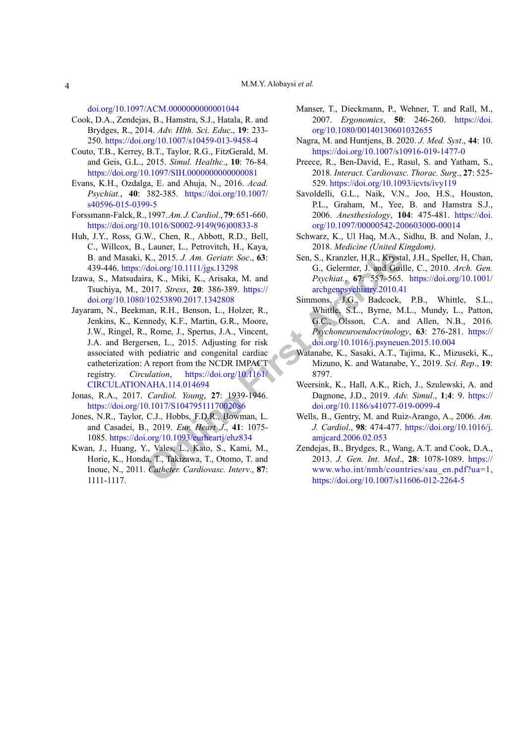[doi.org/10.1097/ACM.0000000000001044](https://doi.org/10.1097/ACM.0000000000001044)

- Cook, D.A., Zendejas, B., Hamstra, S.J., Hatala, R. and Brydges, R., 2014. *Adv. Hlth. Sci. Educ*., **19**: 233- 250.<https://doi.org/10.1007/s10459-013-9458-4>
- Couto, T.B., Kerrey, B.T., Taylor, R.G., FitzGerald, M. and Geis, G.L., 2015. *Simul. Healthc*., **10**: 76-84. <https://doi.org/10.1097/SIH.0000000000000081>
- Evans, K.H., Ozdalga, E. and Ahuja, N., 2016. *Acad. Psychiat.*, **40**: 382-385. [https://doi.org/10.1007/](https://doi.org/10.1007/s40596-015-0399-5) [s40596-015-0399-5](https://doi.org/10.1007/s40596-015-0399-5)
- Forssmann-Falck, R., 1997. *Am. J. Cardiol*., **79**: 651-660. [https://doi.org/10.1016/S0002-9149\(96\)00833-8](https://doi.org/10.1016/S0002-9149(96)00833-8)
- Huh, J.Y., Ross, G.W., Chen, R., Abbott, R.D., Bell, C., Willcox, B., Launer, L., Petrovitch, H., Kaya, B. and Masaki, K., 2015. *J. Am. Geriatr. Soc*., **63**: 439-446. https://doi.org/10.1111/jgs.13298
- Izawa, S., Matsudaira, K., Miki, K., Arisaka, M. and Tsuchiya, M., 2017. *Stress*, **20**: 386-389. https:// [doi.org/10.1080/10253890.2017.1342808](https://doi.org/10.1080/10253890.2017.1342808)
- X., 2015. *J. Am.* Geriatr: Soc., 63:<br>
Sen, S., Kranzler, H.R., Krysta<br>
(doi.org/10.1111/jgs.13298 G., Gelernter, J. and Guil<br>
1na, K., Miki, K., Arisaka, M. and Psychiatr, 67: 557–565.<br>
2017. Stress, 2020 386-89. https:// Jayaram, N., Beekman, R.H., Benson, L., Holzer, R., Jenkins, K., Kennedy, K.F., Martin, G.R., Moore, J.W., Ringel, R., Rome, J., Spertus, J.A., Vincent, J.A. and Bergersen, L., 2015. Adjusting for risk associated with pediatric and congenital cardiac catheterization: A report from the NCDR IMPACT registry. *Circulation*, https://doi.org/10.1161/ [CIRCULATIONAHA.114.014694](https://doi.org/10.1161/CIRCULATIONAHA.114.014694)
- Jonas, R.A., 2017. *Cardiol. Young*, **27**: 1939-1946. <https://doi.org/10.1017/S1047951117002086>
- Jones, N.R., Taylor, C.J., Hobbs, F.D.R., Bowman, L. and Casadei, B., 2019. *Eur. Heart J*., **41**: 1075- 1085.<https://doi.org/10.1093/eurheartj/ehz834>
- Kwan, J., Huang, Y., Vales, L., Kato, S., Kami, M., Horie, K., Honda, T., Takizawa, T., Otomo, T. and Inoue, N., 2011. *Catheter. Cardiovasc. Interv*., **87**: 1111-1117.
- Manser, T., Dieckmann, P., Wehner, T. and Rall, M., 2007. *Ergonomics*, **50**: 246-260. [https://doi.](https://doi.org/10.1080/00140130601032655) [org/10.1080/00140130601032655](https://doi.org/10.1080/00140130601032655)
- Nagra, M. and Huntjens, B. 2020. *J. Med. Syst*., **44**: 10. <https://doi.org/10.1007/s10916-019-1477-0>
- Preece, R., Ben-David, E., Rasul, S. and Yatham, S., 2018. *Interact. Cardiovasc. Thorac. Surg*., **27**: 525- 529.<https://doi.org/10.1093/icvts/ivy119>
- Savoldelli, G.L., Naik, V.N., Joo, H.S., Houston, P.L., Graham, M., Yee, B. and Hamstra S.J., 2006. *Anesthesiology*, **104**: 475-481. [https://doi.](https://doi.org/10.1097/00000542-200603000-00014) [org/10.1097/00000542-200603000-00014](https://doi.org/10.1097/00000542-200603000-00014)
- Schwarz, K., Ul Haq, M.A., Sidhu, B. and Nolan, J., 2018. *Medicine (United Kingdom)*.
- Sen, S., Kranzler, H.R., Krystal, J.H., Speller, H, Chan, G., Gelernter, J. and Guille, C., 2010. *Arch. Gen. Psychiat.*, **67**: 557–565. [https://doi.org/10.1001/](https://doi.org/10.1001/archgenpsychiatry.2010.41) archgenpsychiatry.2010.41
- Simmons, J.G., Badcock, P.B., Whittle, S.L., Whittle, S.L., Byrne, M.L., Mundy, L., Patton, G.C., Olsson, C.A. and Allen, N.B., 2016. *Psychoneuroendocrinology*, **63**: 276-281. [https://](https://doi.org/10.1016/j.psyneuen.2015.10.004) [doi.org/10.1016/j.psyneuen.2015.10.004](https://doi.org/10.1016/j.psyneuen.2015.10.004)
- Watanabe, K., Sasaki, A.T., Tajima, K., Mizuseki, K., Mizuno, K. and Watanabe, Y., 2019. *Sci. Rep*., **19**: 8797.
- Weersink, K., Hall, A.K., Rich, J., Szulewski, A. and Dagnone, J.D., 2019. *Adv. Simul*., **1**;**4**: 9. [https://](https://doi.org/10.1186/s41077-019-0099-4) [doi.org/10.1186/s41077-019-0099-4](https://doi.org/10.1186/s41077-019-0099-4)
- Wells, B., Gentry, M. and Ruiz-Arango, A., 2006. *Am. J. Cardiol*., **98**: 474-477. [https://doi.org/10.1016/j.](https://doi.org/10.1016/j.amjcard.2006.02.053) amjcard.2006.02.053
- Zendejas, B., Brydges, R., Wang, A.T. and Cook, D.A., 2013. *J. Gen. Int. Med*., **28**: 1078-1089. [https://](https://www.who.int/nmh/countries/sau_en.pdf?ua=1) [www.who.int/nmh/countries/sau\\_en.pdf?ua=1](https://www.who.int/nmh/countries/sau_en.pdf?ua=1), <https://doi.org/10.1007/s11606-012-2264-5>

4